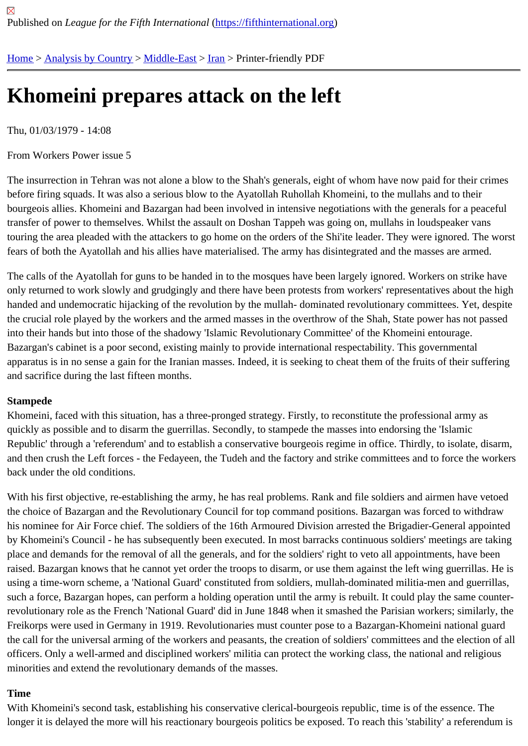## [Kh](https://fifthinternational.org/)[omeini pre](https://fifthinternational.org/category/1)[pares a](https://fifthinternational.org/category/1/178)[tta](https://fifthinternational.org/category/1/178/182)ck on the left

Thu, 01/03/1979 - 14:08

From Workers Power issue 5

The insurrection in Tehran was not alone a blow to the Shah's generals, eight of whom have now paid for their crir before firing squads. It was also a serious blow to the Ayatollah Ruhollah Khomeini, to the mullahs and to their bourgeois allies. Khomeini and Bazargan had been involved in intensive negotiations with the generals for a peace transfer of power to themselves. Whilst the assault on Doshan Tappeh was going on, mullahs in loudspeaker vans touring the area pleaded with the attackers to go home on the orders of the Shi'ite leader. They were ignored. The fears of both the Ayatollah and his allies have materialised. The army has disintegrated and the masses are armed

The calls of the Ayatollah for guns to be handed in to the mosques have been largely ignored. Workers on strike h only returned to work slowly and grudgingly and there have been protests from workers' representatives about the high handed and undemocratic hijacking of the revolution by the mullah-dominated revolutionary committees. Yet, des the crucial role played by the workers and the armed masses in the overthrow of the Shah, State power has not pa into their hands but into those of the shadowy 'Islamic Revolutionary Committee' of the Khomeini entourage. Bazargan's cabinet is a poor second, existing mainly to provide international respectability. This governmental apparatus is in no sense a gain for the Iranian masses. Indeed, it is seeking to cheat them of the fruits of their suffe and sacrifice during the last fifteen months.

## Stampede

Khomeini, faced with this situation, has a three-pronged strategy. Firstly, to reconstitute the professional army as quickly as possible and to disarm the guerrillas. Secondly, to stampede the masses into endorsing the 'Islamic Republic' through a 'referendum' and to establish a conservative bourgeois regime in office. Thirdly, to isolate, disa and then crush the Left forces - the Fedayeen, the Tudeh and the factory and strike committees and to force the w back under the old conditions.

With his first objective, re-establishing the army, he has real problems. Rank and file soldiers and airmen have vet the choice of Bazargan and the Revolutionary Council for top command positions. Bazargan was forced to withdra his nominee for Air Force chief. The soldiers of the 16th Armoured Division arrested the Brigadier-General appoint by Khomeini's Council - he has subsequently been executed. In most barracks continuous soldiers' meetings are t place and demands for the removal of all the generals, and for the soldiers' right to veto all appointments, have be raised. Bazargan knows that he cannot yet order the troops to disarm, or use them against the left wing guerrillas. using a time-worn scheme, a 'National Guard' constituted from soldiers, mullah-dominated militia-men and guerrilla such a force, Bazargan hopes, can perform a holding operation until the army is rebuilt. It could play the same cou revolutionary role as the French 'National Guard' did in June 1848 when it smashed the Parisian workers; similarly Freikorps were used in Germany in 1919. Revolutionaries must counter pose to a Bazargan-Khomeini national gua the call for the universal arming of the workers and peasants, the creation of soldiers' committees and the election officers. Only a well-armed and disciplined workers' militia can protect the working class, the national and religious minorities and extend the revolutionary demands of the masses.

## Time

With Khomeini's second task, establishing his conservative clerical-bourgeois republic, time is of the essence. The longer it is delayed the more will his reactionary bourgeois politics be exposed. To reach this 'stability' a referendui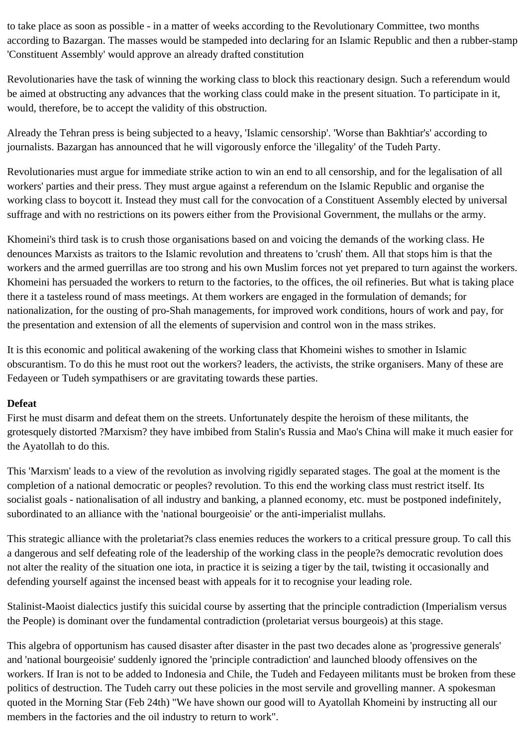to take place as soon as possible - in a matter of weeks according to the Revolutionary Committee, two months according to Bazargan. The masses would be stampeded into declaring for an Islamic Republic and then a rubber-stamp 'Constituent Assembly' would approve an already drafted constitution

Revolutionaries have the task of winning the working class to block this reactionary design. Such a referendum would be aimed at obstructing any advances that the working class could make in the present situation. To participate in it, would, therefore, be to accept the validity of this obstruction.

Already the Tehran press is being subjected to a heavy, 'Islamic censorship'. 'Worse than Bakhtiar's' according to journalists. Bazargan has announced that he will vigorously enforce the 'illegality' of the Tudeh Party.

Revolutionaries must argue for immediate strike action to win an end to all censorship, and for the legalisation of all workers' parties and their press. They must argue against a referendum on the Islamic Republic and organise the working class to boycott it. Instead they must call for the convocation of a Constituent Assembly elected by universal suffrage and with no restrictions on its powers either from the Provisional Government, the mullahs or the army.

Khomeini's third task is to crush those organisations based on and voicing the demands of the working class. He denounces Marxists as traitors to the Islamic revolution and threatens to 'crush' them. All that stops him is that the workers and the armed guerrillas are too strong and his own Muslim forces not yet prepared to turn against the workers. Khomeini has persuaded the workers to return to the factories, to the offices, the oil refineries. But what is taking place there it a tasteless round of mass meetings. At them workers are engaged in the formulation of demands; for nationalization, for the ousting of pro-Shah managements, for improved work conditions, hours of work and pay, for the presentation and extension of all the elements of supervision and control won in the mass strikes.

It is this economic and political awakening of the working class that Khomeini wishes to smother in Islamic obscurantism. To do this he must root out the workers? leaders, the activists, the strike organisers. Many of these are Fedayeen or Tudeh sympathisers or are gravitating towards these parties.

## **Defeat**

First he must disarm and defeat them on the streets. Unfortunately despite the heroism of these militants, the grotesquely distorted ?Marxism? they have imbibed from Stalin's Russia and Mao's China will make it much easier for the Ayatollah to do this.

This 'Marxism' leads to a view of the revolution as involving rigidly separated stages. The goal at the moment is the completion of a national democratic or peoples? revolution. To this end the working class must restrict itself. Its socialist goals - nationalisation of all industry and banking, a planned economy, etc. must be postponed indefinitely, subordinated to an alliance with the 'national bourgeoisie' or the anti-imperialist mullahs.

This strategic alliance with the proletariat?s class enemies reduces the workers to a critical pressure group. To call this a dangerous and self defeating role of the leadership of the working class in the people?s democratic revolution does not alter the reality of the situation one iota, in practice it is seizing a tiger by the tail, twisting it occasionally and defending yourself against the incensed beast with appeals for it to recognise your leading role.

Stalinist-Maoist dialectics justify this suicidal course by asserting that the principle contradiction (Imperialism versus the People) is dominant over the fundamental contradiction (proletariat versus bourgeois) at this stage.

This algebra of opportunism has caused disaster after disaster in the past two decades alone as 'progressive generals' and 'national bourgeoisie' suddenly ignored the 'principle contradiction' and launched bloody offensives on the workers. If Iran is not to be added to Indonesia and Chile, the Tudeh and Fedayeen militants must be broken from these politics of destruction. The Tudeh carry out these policies in the most servile and grovelling manner. A spokesman quoted in the Morning Star (Feb 24th) "We have shown our good will to Ayatollah Khomeini by instructing all our members in the factories and the oil industry to return to work".